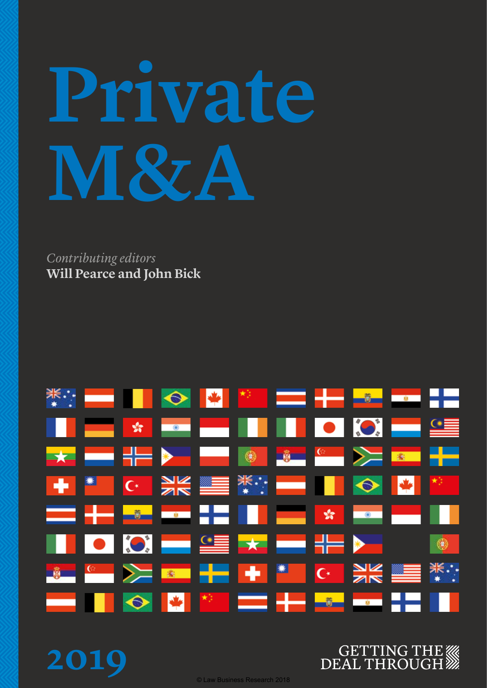# **Private M&A**

*Contributing editors* **Will Pearce and John Bick**

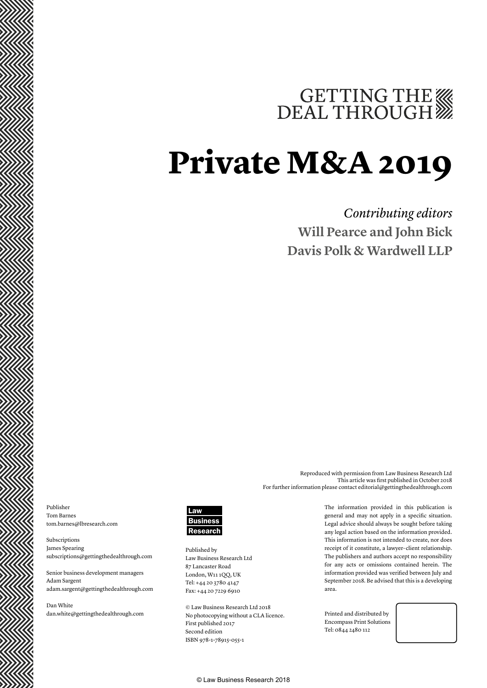## GETTING THE WE DEAL THROUGH

### **Private M&A 2019**

### *Contributing editors* **Will Pearce and John Bick Davis Polk & Wardwell LLP**

Publisher Tom Barnes tom.barnes@lbresearch.com

Subscriptions James Spearing subscriptions@gettingthedealthrough.com

Senior business development managers Adam Sargent adam.sargent@gettingthedealthrough.com

Dan White dan.white@gettingthedealthrough.com



Published by Law Business Research Ltd 87 Lancaster Road London, W11 1QQ, UK Tel: +44 20 3780 4147 Fax: +44 20 7229 6910

© Law Business Research Ltd 2018 No photocopying without a CLA licence. First published 2017 Second edition ISBN 978-1-78915-055-1

The information provided in this publication is general and may not apply in a specific situation. Legal advice should always be sought before taking any legal action based on the information provided. This information is not intended to create, nor does receipt of it constitute, a lawyer–client relationship. The publishers and authors accept no responsibility for any acts or omissions contained herein. The information provided was verified between July and September 2018. Be advised that this is a developing area.

Reproduced with permission from Law Business Research Ltd

For further information please contact editorial@gettingthedealthrough.com

This article was first published in October 2018

Printed and distributed by Encompass Print Solutions Tel: 0844 2480 112



© Law Business Research 2018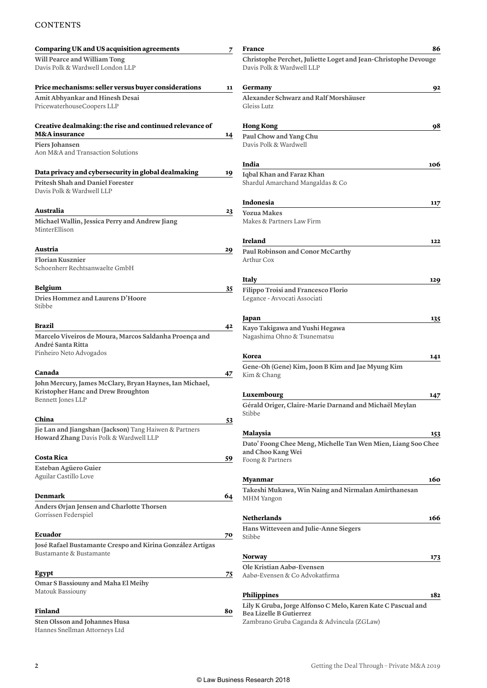#### **CONTENTS**

| Comparing UK and US acquisition agreements                                                                                  | 7  | <b>France</b>                                                                               | 86  |
|-----------------------------------------------------------------------------------------------------------------------------|----|---------------------------------------------------------------------------------------------|-----|
| Will Pearce and William Tong<br>Davis Polk & Wardwell London LLP                                                            |    | Christophe Perchet, Juliette Loget and Jean-Christophe Devouge<br>Davis Polk & Wardwell LLP |     |
| Price mechanisms: seller versus buyer considerations                                                                        | 11 | Germany                                                                                     | 92  |
| Amit Abhyankar and Hinesh Desai<br>PricewaterhouseCoopers LLP                                                               |    | Alexander Schwarz and Ralf Morshäuser<br>Gleiss Lutz                                        |     |
| Creative dealmaking: the rise and continued relevance of                                                                    |    | <b>Hong Kong</b>                                                                            | 98  |
| <b>M&amp;A</b> insurance                                                                                                    | 14 | Paul Chow and Yang Chu<br>Davis Polk & Wardwell                                             |     |
| Piers Johansen<br>Aon M&A and Transaction Solutions                                                                         |    |                                                                                             |     |
|                                                                                                                             |    | India                                                                                       | 106 |
| Data privacy and cybersecurity in global dealmaking<br><b>Pritesh Shah and Daniel Forester</b><br>Davis Polk & Wardwell LLP | 19 | Iqbal Khan and Faraz Khan<br>Shardul Amarchand Mangaldas & Co                               |     |
|                                                                                                                             |    |                                                                                             |     |
| Australia                                                                                                                   | 23 | Indonesia                                                                                   | 117 |
| Michael Wallin, Jessica Perry and Andrew Jiang                                                                              |    | <b>Yozua Makes</b><br>Makes & Partners Law Firm                                             |     |
| MinterEllison                                                                                                               |    |                                                                                             |     |
|                                                                                                                             |    | Ireland                                                                                     | 122 |
| Austria                                                                                                                     | 29 | Paul Robinson and Conor McCarthy                                                            |     |
| <b>Florian Kusznier</b><br>Schoenherr Rechtsanwaelte GmbH                                                                   |    | Arthur Cox                                                                                  |     |
|                                                                                                                             |    | Italy                                                                                       | 129 |
| <b>Belgium</b>                                                                                                              | 35 | Filippo Troisi and Francesco Florio                                                         |     |
| Dries Hommez and Laurens D'Hoore<br>Stibbe                                                                                  |    | Legance - Avvocati Associati                                                                |     |
|                                                                                                                             |    | Japan                                                                                       | 135 |
| Brazil                                                                                                                      | 42 | Kayo Takigawa and Yushi Hegawa                                                              |     |
| Marcelo Viveiros de Moura, Marcos Saldanha Proença and<br>André Santa Ritta<br>Pinheiro Neto Advogados                      |    | Nagashima Ohno & Tsunematsu                                                                 |     |
|                                                                                                                             |    | Korea                                                                                       | 141 |
| Canada                                                                                                                      | 47 | Gene-Oh (Gene) Kim, Joon B Kim and Jae Myung Kim<br>Kim & Chang                             |     |
| John Mercury, James McClary, Bryan Haynes, Ian Michael,                                                                     |    |                                                                                             |     |
| Kristopher Hanc and Drew Broughton<br>Bennett Jones LLP                                                                     |    | Luxembourg                                                                                  | 147 |
|                                                                                                                             |    | Gérald Origer, Claire-Marie Darnand and Michaël Meylan<br>Stibbe                            |     |
| China                                                                                                                       | 53 |                                                                                             |     |
| Jie Lan and Jiangshan (Jackson) Tang Haiwen & Partners                                                                      |    | <b>Malaysia</b>                                                                             | 153 |
| Howard Zhang Davis Polk & Wardwell LLP                                                                                      |    | Dato' Foong Chee Meng, Michelle Tan Wen Mien, Liang Soo Chee                                |     |
| Costa Rica                                                                                                                  | 59 | and Choo Kang Wei<br>Foong & Partners                                                       |     |
| Esteban Agüero Guier                                                                                                        |    |                                                                                             |     |
| Aguilar Castillo Love                                                                                                       |    | <b>Myanmar</b>                                                                              | 160 |
| Denmark                                                                                                                     |    | Takeshi Mukawa, Win Naing and Nirmalan Amirthanesan                                         |     |
|                                                                                                                             | 64 | <b>MHM</b> Yangon                                                                           |     |
| Anders Ørjan Jensen and Charlotte Thorsen<br>Gorrissen Federspiel                                                           |    | <b>Netherlands</b>                                                                          | 166 |
|                                                                                                                             |    | Hans Witteveen and Julie-Anne Siegers                                                       |     |
| Ecuador                                                                                                                     | 70 | Stibbe                                                                                      |     |
| José Rafael Bustamante Crespo and Kirina González Artigas<br>Bustamante & Bustamante                                        |    |                                                                                             |     |
|                                                                                                                             |    | <b>Norway</b>                                                                               | 173 |
| Egypt                                                                                                                       | 75 | Ole Kristian Aabø-Evensen<br>Aabø-Evensen & Co Advokatfirma                                 |     |
| <b>Omar S Bassiouny and Maha El Meihy</b>                                                                                   |    |                                                                                             |     |
| Matouk Bassiouny                                                                                                            |    | Philippines                                                                                 | 182 |
|                                                                                                                             |    | Lily K Gruba, Jorge Alfonso C Melo, Karen Kate C Pascual and                                |     |
| Finland<br>Sten Olsson and Johannes Husa                                                                                    | 80 | <b>Bea Lizelle B Gutierrez</b>                                                              |     |
| Hannes Snellman Attorneys Ltd                                                                                               |    | Zambrano Gruba Caganda & Advincula (ZGLaw)                                                  |     |
|                                                                                                                             |    |                                                                                             |     |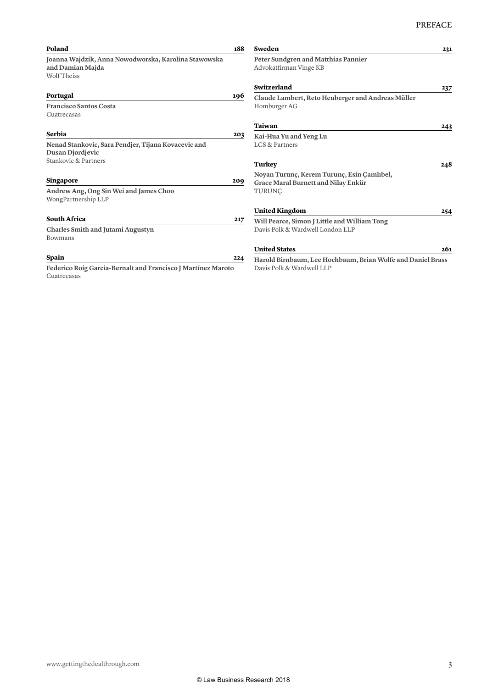| Poland                                                                                         | 188 | Sweden                                                                            | 231 |
|------------------------------------------------------------------------------------------------|-----|-----------------------------------------------------------------------------------|-----|
| Joanna Wajdzik, Anna Nowodworska, Karolina Stawowska<br>and Damian Majda<br><b>Wolf Theiss</b> |     | Peter Sundgren and Matthias Pannier<br>Advokatfirman Vinge KB                     |     |
|                                                                                                |     | Switzerland                                                                       | 237 |
| Portugal                                                                                       | 196 | Claude Lambert, Reto Heuberger and Andreas Müller                                 |     |
| <b>Francisco Santos Costa</b><br>Cuatrecasas                                                   |     | Homburger AG                                                                      |     |
|                                                                                                |     | Taiwan                                                                            | 243 |
| Serbia                                                                                         | 203 | Kai-Hua Yu and Yeng Lu                                                            |     |
| Nenad Stankovic, Sara Pendjer, Tijana Kovacevic and<br>Dusan Djordjevic                        |     | LCS & Partners                                                                    |     |
| Stankovic & Partners                                                                           |     | Turkey                                                                            | 248 |
| <b>Singapore</b>                                                                               | 209 | Noyan Turunç, Kerem Turunç, Esin Çamlıbel,<br>Grace Maral Burnett and Nilay Enkür |     |
| Andrew Ang, Ong Sin Wei and James Choo<br>WongPartnership LLP                                  |     | TURUNC                                                                            |     |
|                                                                                                |     | <b>United Kingdom</b>                                                             | 254 |
| <b>South Africa</b>                                                                            | 217 | Will Pearce, Simon J Little and William Tong                                      |     |
| <b>Charles Smith and Jutami Augustyn</b><br><b>Bowmans</b>                                     |     | Davis Polk & Wardwell London LLP                                                  |     |
|                                                                                                |     | <b>United States</b>                                                              | 261 |
| Spain                                                                                          | 224 | Harold Birnbaum, Lee Hochbaum, Brian Wolfe and Daniel Brass                       |     |
| Federico Roig García-Bernalt and Francisco J Martínez Maroto                                   |     | Davis Polk & Wardwell LLP                                                         |     |
| Cuatrecasas                                                                                    |     |                                                                                   |     |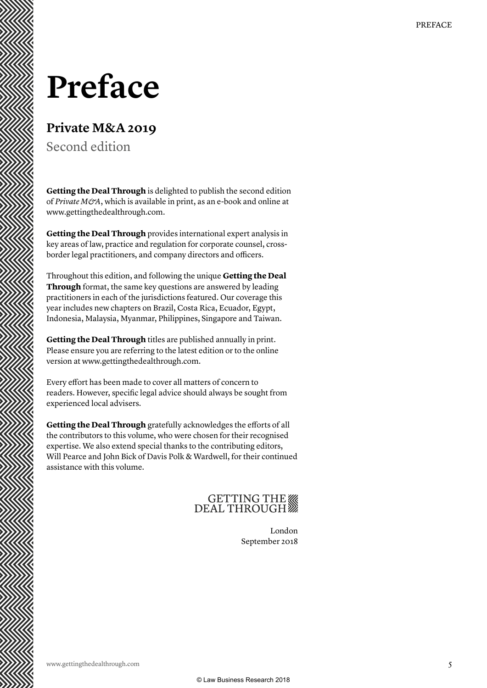### **Preface**

### **Private M&A 2019**

Second edition

**Getting the Deal Through** is delighted to publish the second edition of *Private M&A*, which is available in print, as an e-book and online at www.gettingthedealthrough.com.

**Getting the Deal Through** provides international expert analysis in key areas of law, practice and regulation for corporate counsel, crossborder legal practitioners, and company directors and officers.

Throughout this edition, and following the unique **Getting the Deal Through** format, the same key questions are answered by leading practitioners in each of the jurisdictions featured. Our coverage this year includes new chapters on Brazil, Costa Rica, Ecuador, Egypt, Indonesia, Malaysia, Myanmar, Philippines, Singapore and Taiwan.

**Getting the Deal Through** titles are published annually in print. Please ensure you are referring to the latest edition or to the online version at www.gettingthedealthrough.com.

Every effort has been made to cover all matters of concern to readers. However, specific legal advice should always be sought from experienced local advisers.

**Getting the Deal Through** gratefully acknowledges the efforts of all the contributors to this volume, who were chosen for their recognised expertise. We also extend special thanks to the contributing editors, Will Pearce and John Bick of Davis Polk & Wardwell, for their continued assistance with this volume.

### GETTING THE

London September 2018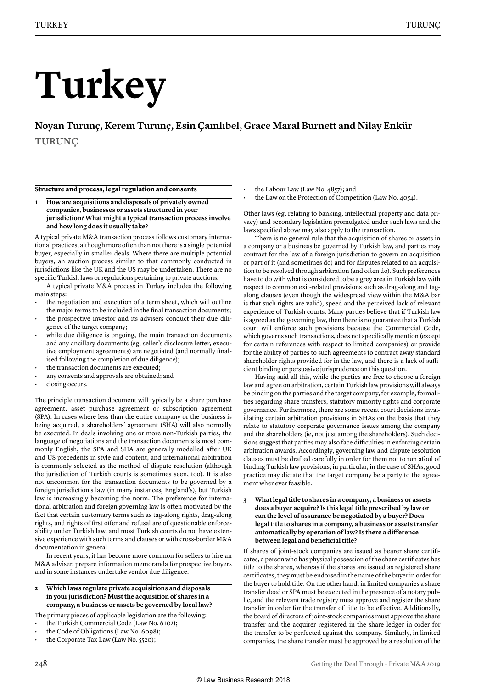# **Turkey**

**Noyan Turunç, Kerem Turunç, Esin Çamlıbel, Grace Maral Burnett and Nilay Enkür TURUNÇ**

#### **Structure and process, legal regulation and consents**

**1 How are acquisitions and disposals of privately owned companies, businesses or assets structured in your jurisdiction? What might a typical transaction process involve and how long does it usually take?**

A typical private M&A transaction process follows customary international practices, although more often than not there is a single potential buyer, especially in smaller deals. Where there are multiple potential buyers, an auction process similar to that commonly conducted in jurisdictions like the UK and the US may be undertaken. There are no specific Turkish laws or regulations pertaining to private auctions.

A typical private M&A process in Turkey includes the following main steps:

- the negotiation and execution of a term sheet, which will outline the major terms to be included in the final transaction documents;
- the prospective investor and its advisers conduct their due diligence of the target company;
- while due diligence is ongoing, the main transaction documents and any ancillary documents (eg, seller's disclosure letter, executive employment agreements) are negotiated (and normally finalised following the completion of due diligence);
- the transaction documents are executed;
- any consents and approvals are obtained; and
- closing occurs.

The principle transaction document will typically be a share purchase agreement, asset purchase agreement or subscription agreement (SPA). In cases where less than the entire company or the business is being acquired, a shareholders' agreement (SHA) will also normally be executed. In deals involving one or more non-Turkish parties, the language of negotiations and the transaction documents is most commonly English, the SPA and SHA are generally modelled after UK and US precedents in style and content, and international arbitration is commonly selected as the method of dispute resolution (although the jurisdiction of Turkish courts is sometimes seen, too). It is also not uncommon for the transaction documents to be governed by a foreign jurisdiction's law (in many instances, England's), but Turkish law is increasingly becoming the norm. The preference for international arbitration and foreign governing law is often motivated by the fact that certain customary terms such as tag-along rights, drag-along rights, and rights of first offer and refusal are of questionable enforceability under Turkish law, and most Turkish courts do not have extensive experience with such terms and clauses or with cross-border M&A documentation in general.

In recent years, it has become more common for sellers to hire an M&A adviser, prepare information memoranda for prospective buyers and in some instances undertake vendor due diligence.

#### **2 Which laws regulate private acquisitions and disposals in your jurisdiction? Must the acquisition of shares in a company, a business or assets be governed by local law?**

The primary pieces of applicable legislation are the following:

- the Turkish Commercial Code (Law No. 6102);
- the Code of Obligations (Law No. 6098);
- the Corporate Tax Law (Law No. 5520);
- the Labour Law (Law No. 4857); and
- the Law on the Protection of Competition (Law No. 4054).

Other laws (eg, relating to banking, intellectual property and data privacy) and secondary legislation promulgated under such laws and the laws specified above may also apply to the transaction.

There is no general rule that the acquisition of shares or assets in a company or a business be governed by Turkish law, and parties may contract for the law of a foreign jurisdiction to govern an acquisition or part of it (and sometimes do) and for disputes related to an acquisition to be resolved through arbitration (and often do). Such preferences have to do with what is considered to be a grey area in Turkish law with respect to common exit-related provisions such as drag-along and tagalong clauses (even though the widespread view within the M&A bar is that such rights are valid), speed and the perceived lack of relevant experience of Turkish courts. Many parties believe that if Turkish law is agreed as the governing law, then there is no guarantee that a Turkish court will enforce such provisions because the Commercial Code, which governs such transactions, does not specifically mention (except for certain references with respect to limited companies) or provide for the ability of parties to such agreements to contract away standard shareholder rights provided for in the law, and there is a lack of sufficient binding or persuasive jurisprudence on this question.

Having said all this, while the parties are free to choose a foreign law and agree on arbitration, certain Turkish law provisions will always be binding on the parties and the target company, for example, formalities regarding share transfers, statutory minority rights and corporate governance. Furthermore, there are some recent court decisions invalidating certain arbitration provisions in SHAs on the basis that they relate to statutory corporate governance issues among the company and the shareholders (ie, not just among the shareholders). Such decisions suggest that parties may also face difficulties in enforcing certain arbitration awards. Accordingly, governing law and dispute resolution clauses must be drafted carefully in order for them not to run afoul of binding Turkish law provisions; in particular, in the case of SHAs, good practice may dictate that the target company be a party to the agreement whenever feasible.

#### **3 What legal title to shares in a company, a business or assets does a buyer acquire? Is this legal title prescribed by law or can the level of assurance be negotiated by a buyer? Does legal title to shares in a company, a business or assets transfer automatically by operation of law? Is there a difference between legal and beneficial title?**

If shares of joint-stock companies are issued as bearer share certificates, a person who has physical possession of the share certificates has title to the shares, whereas if the shares are issued as registered share certificates, they must be endorsed in the name of the buyer in order for the buyer to hold title. On the other hand, in limited companies a share transfer deed or SPA must be executed in the presence of a notary public, and the relevant trade registry must approve and register the share transfer in order for the transfer of title to be effective. Additionally, the board of directors of joint-stock companies must approve the share transfer and the acquirer registered in the share ledger in order for the transfer to be perfected against the company. Similarly, in limited companies, the share transfer must be approved by a resolution of the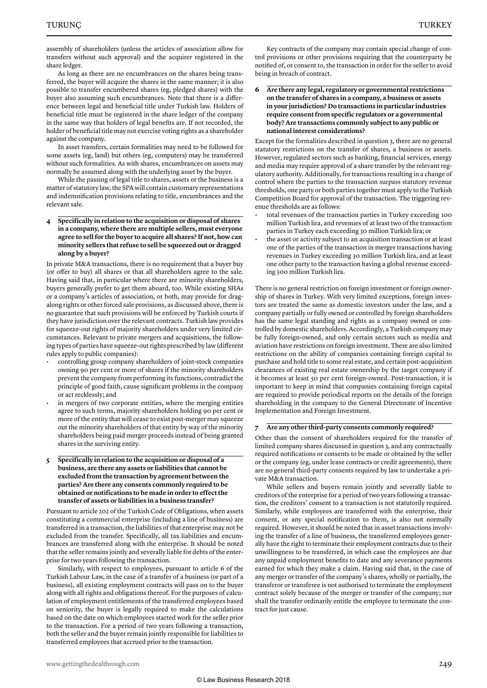assembly of shareholders (unless the articles of association allow for transfers without such approval) and the acquirer registered in the share ledger.

As long as there are no encumbrances on the shares being transferred, the buyer will acquire the shares in the same manner; it is also possible to transfer encumbered shares (eg, pledged shares) with the buyer also assuming such encumbrances. Note that there is a difference between legal and beneficial title under Turkish law. Holders of beneficial title must be registered in the share ledger of the company in the same way that holders of legal benefits are. If not recorded, the holder of beneficial title may not exercise voting rights as a shareholder against the company.

In asset transfers, certain formalities may need to be followed for some assets (eg, land) but others (eg, computers) may be transferred without such formalities. As with shares, encumbrances on assets may normally be assumed along with the underlying asset by the buyer.

While the passing of legal title to shares, assets or the business is a matter of statutory law, the SPA will contain customary representations and indemnification provisions relating to title, encumbrances and the relevant sale.

#### **4 Specifically in relation to the acquisition or disposal of shares in a company, where there are multiple sellers, must everyone agree to sell for the buyer to acquire all shares? If not, how can minority sellers that refuse to sell be squeezed out or dragged along by a buyer?**

In private M&A transactions, there is no requirement that a buyer buy (or offer to buy) all shares or that all shareholders agree to the sale. Having said that, in particular where there are minority shareholders, buyers generally prefer to get them aboard, too. While existing SHAs or a company's articles of association, or both, may provide for dragalong rights or other forced sale provisions, as discussed above, there is no guarantee that such provisions will be enforced by Turkish courts if they have jurisdiction over the relevant contracts. Turkish law provides for squeeze-out rights of majority shareholders under very limited circumstances. Relevant to private mergers and acquisitions, the following types of parties have squeeze-out rights prescribed by law (different rules apply to public companies):

- controlling group company shareholders of joint-stock companies owning 90 per cent or more of shares if the minority shareholders prevent the company from performing its functions, contradict the principle of good faith, cause significant problems in the company or act recklessly; and
- in mergers of two corporate entities, where the merging entities agree to such terms, majority shareholders holding 90 per cent or more of the entity that will cease to exist post-merger may squeeze out the minority shareholders of that entity by way of the minority shareholders being paid merger proceeds instead of being granted shares in the surviving entity.

#### **5 Specifically in relation to the acquisition or disposal of a business, are there any assets or liabilities that cannot be excluded from the transaction by agreement between the parties? Are there any consents commonly required to be obtained or notifications to be made in order to effect the transfer of assets or liabilities in a business transfer?**

Pursuant to article 202 of the Turkish Code of Obligations, when assets constituting a commercial enterprise (including a line of business) are transferred in a transaction, the liabilities of that enterprise may not be excluded from the transfer. Specifically, all tax liabilities and encumbrances are transferred along with the enterprise. It should be noted that the seller remains jointly and severally liable for debts of the enterprise for two years following the transaction.

Similarly, with respect to employees, pursuant to article 6 of the Turkish Labour Law, in the case of a transfer of a business (or part of a business), all existing employment contracts will pass on to the buyer along with all rights and obligations thereof. For the purposes of calculation of employment entitlements of the transferred employees based on seniority, the buyer is legally required to make the calculations based on the date on which employees started work for the seller prior to the transaction. For a period of two years following a transaction, both the seller and the buyer remain jointly responsible for liabilities to transferred employees that accrued prior to the transaction.

Key contracts of the company may contain special change of control provisions or other provisions requiring that the counterparty be notified of, or consent to, the transaction in order for the seller to avoid being in breach of contract.

#### **6 Are there any legal, regulatory or governmental restrictions on the transfer of shares in a company, a business or assets in your jurisdiction? Do transactions in particular industries require consent from specific regulators or a governmental body? Are transactions commonly subject to any public or national interest considerations?**

Except for the formalities described in question 3, there are no general statutory restrictions on the transfer of shares, a business or assets. However, regulated sectors such as banking, financial services, energy and media may require approval of a share transfer by the relevant regulatory authority. Additionally, for transactions resulting in a change of control where the parties to the transaction surpass statutory revenue thresholds, one party or both parties together must apply to the Turkish Competition Board for approval of the transaction. The triggering revenue thresholds are as follows:

- total revenues of the transaction parties in Turkey exceeding 100 million Turkish lira, and revenues of at least two of the transaction parties in Turkey each exceeding 30 million Turkish lira; or
- the asset or activity subject to an acquisition transaction or at least one of the parties of the transaction in merger transactions having revenues in Turkey exceeding 30 million Turkish lira, and at least one other party to the transaction having a global revenue exceeding 500 million Turkish lira.

There is no general restriction on foreign investment or foreign ownership of shares in Turkey. With very limited exceptions, foreign investors are treated the same as domestic investors under the law, and a company partially or fully owned or controlled by foreign shareholders has the same legal standing and rights as a company owned or controlled by domestic shareholders. Accordingly, a Turkish company may be fully foreign-owned, and only certain sectors such as media and aviation have restrictions on foreign investment. There are also limited restrictions on the ability of companies containing foreign capital to purchase and hold title to some real estate, and certain post-acquisition clearances of existing real estate ownership by the target company if it becomes at least 50 per cent foreign-owned. Post-transaction, it is important to keep in mind that companies containing foreign capital are required to provide periodical reports on the details of the foreign shareholding in the company to the General Directorate of Incentive Implementation and Foreign Investment.

#### **7 Are any other third-party consents commonly required?**

Other than the consent of shareholders required for the transfer of limited company shares discussed in question 3, and any contractually required notifications or consents to be made or obtained by the seller or the company (eg, under lease contracts or credit agreements), there are no general third-party consents required by law to undertake a private M&A transaction.

While sellers and buyers remain jointly and severally liable to creditors of the enterprise for a period of two years following a transaction, the creditors' consent to a transaction is not statutorily required. Similarly, while employees are transferred with the enterprise, their consent, or any special notification to them, is also not normally required. However, it should be noted that in asset transactions involving the transfer of a line of business, the transferred employees generally have the right to terminate their employment contracts due to their unwillingness to be transferred, in which case the employees are due any unpaid employment benefits to date and any severance payments earned for which they make a claim. Having said that, in the case of any merger or transfer of the company's shares, wholly or partially, the transferor or transferee is not authorised to terminate the employment contract solely because of the merger or transfer of the company; nor shall the transfer ordinarily entitle the employee to terminate the contract for just cause.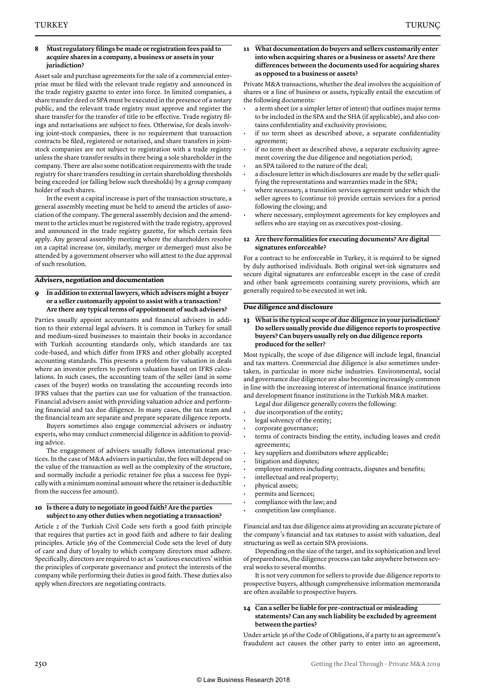#### **8 Must regulatory filings be made or registration fees paid to acquire shares in a company, a business or assets in your jurisdiction?**

Asset sale and purchase agreements for the sale of a commercial enterprise must be filed with the relevant trade registry and announced in the trade registry gazette to enter into force. In limited companies, a share transfer deed or SPA must be executed in the presence of a notary public, and the relevant trade registry must approve and register the share transfer for the transfer of title to be effective. Trade registry filings and notarisations are subject to fees. Otherwise, for deals involving joint-stock companies, there is no requirement that transaction contracts be filed, registered or notarised, and share transfers in jointstock companies are not subject to registration with a trade registry unless the share transfer results in there being a sole shareholder in the company. There are also some notification requirements with the trade registry for share transfers resulting in certain shareholding thresholds being exceeded (or falling below such thresholds) by a group company holder of such shares.

In the event a capital increase is part of the transaction structure, a general assembly meeting must be held to amend the articles of association of the company. The general assembly decision and the amendment to the articles must be registered with the trade registry, approved and announced in the trade registry gazette, for which certain fees apply. Any general assembly meeting where the shareholders resolve on a capital increase (or, similarly, merger or demerger) must also be attended by a government observer who will attest to the due approval of such resolution.

#### **Advisers, negotiation and documentation**

**9 In addition to external lawyers, which advisers might a buyer or a seller customarily appoint to assist with a transaction? Are there any typical terms of appointment of such advisers?**

Parties usually appoint accountants and financial advisers in addition to their external legal advisers. It is common in Turkey for small and medium-sized businesses to maintain their books in accordance with Turkish accounting standards only, which standards are tax code-based, and which differ from IFRS and other globally accepted accounting standards. This presents a problem for valuation in deals where an investor prefers to perform valuation based on IFRS calculations. In such cases, the accounting team of the seller (and in some cases of the buyer) works on translating the accounting records into IFRS values that the parties can use for valuation of the transaction. Financial advisers assist with providing valuation advice and performing financial and tax due diligence. In many cases, the tax team and the financial team are separate and prepare separate diligence reports.

Buyers sometimes also engage commercial advisers or industry experts, who may conduct commercial diligence in addition to providing advice.

The engagement of advisers usually follows international practices. In the case of M&A advisers in particular, the fees will depend on the value of the transaction as well as the complexity of the structure, and normally include a periodic retainer fee plus a success fee (typically with a minimum nominal amount where the retainer is deductible from the success fee amount).

#### **10 Is there a duty to negotiate in good faith? Are the parties subject to any other duties when negotiating a transaction?**

Article 2 of the Turkish Civil Code sets forth a good faith principle that requires that parties act in good faith and adhere to fair dealing principles. Article 369 of the Commercial Code sets the level of duty of care and duty of loyalty to which company directors must adhere. Specifically, directors are required to act as 'cautious executives' within the principles of corporate governance and protect the interests of the company while performing their duties in good faith. These duties also apply when directors are negotiating contracts.

#### **11 What documentation do buyers and sellers customarily enter into when acquiring shares or a business or assets? Are there differences between the documents used for acquiring shares as opposed to a business or assets?**

Private M&A transactions, whether the deal involves the acquisition of shares or a line of business or assets, typically entail the execution of the following documents:

- a term sheet (or a simpler letter of intent) that outlines major terms to be included in the SPA and the SHA (if applicable), and also contains confidentiality and exclusivity provisions;
- if no term sheet as described above, a separate confidentiality agreement;
- if no term sheet as described above, a separate exclusivity agreement covering the due diligence and negotiation period;
- an SPA tailored to the nature of the deal;
- a disclosure letter in which disclosures are made by the seller qualifying the representations and warranties made in the SPA;
- where necessary, a transition services agreement under which the seller agrees to (continue to) provide certain services for a period following the closing; and
- where necessary, employment agreements for key employees and sellers who are staying on as executives post-closing.

#### **12 Are there formalities for executing documents? Are digital signatures enforceable?**

For a contract to be enforceable in Turkey, it is required to be signed by duly authorised individuals. Both original wet-ink signatures and secure digital signatures are enforceable except in the case of credit and other bank agreements containing surety provisions, which are generally required to be executed in wet ink.

#### **Due diligence and disclosure**

#### **13 What is the typical scope of due diligence in your jurisdiction? Do sellers usually provide due diligence reports to prospective buyers? Can buyers usually rely on due diligence reports produced for the seller?**

Most typically, the scope of due diligence will include legal, financial and tax matters. Commercial due diligence is also sometimes undertaken, in particular in more niche industries. Environmental, social and governance due diligence are also becoming increasingly common in line with the increasing interest of international finance institutions and development finance institutions in the Turkish M&A market.

- Legal due diligence generally covers the following:
- due incorporation of the entity;
- legal solvency of the entity;
- corporate governance;
- terms of contracts binding the entity, including leases and credit agreements;
- key suppliers and distributors where applicable;
- litigation and disputes;
- employee matters including contracts, disputes and benefits;
- intellectual and real property;
- physical assets;
- permits and licences;
- compliance with the law; and
- competition law compliance.

Financial and tax due diligence aims at providing an accurate picture of the company's financial and tax statuses to assist with valuation, deal structuring as well as certain SPA provisions.

Depending on the size of the target, and its sophistication and level of preparedness, the diligence process can take anywhere between several weeks to several months.

It is not very common for sellers to provide due diligence reports to prospective buyers, although comprehensive information memoranda are often available to prospective buyers.

#### **14 Can a seller be liable for pre-contractual or misleading statements? Can any such liability be excluded by agreement between the parties?**

Under article 36 of the Code of Obligations, if a party to an agreement's fraudulent act causes the other party to enter into an agreement,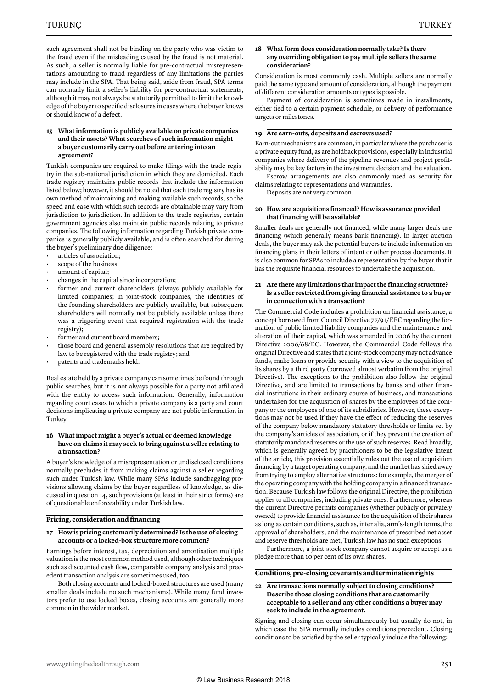such agreement shall not be binding on the party who was victim to the fraud even if the misleading caused by the fraud is not material. As such, a seller is normally liable for pre-contractual misrepresentations amounting to fraud regardless of any limitations the parties may include in the SPA. That being said, aside from fraud, SPA terms can normally limit a seller's liability for pre-contractual statements, although it may not always be statutorily permitted to limit the knowledge of the buyer to specific disclosures in cases where the buyer knows or should know of a defect.

#### **15 What information is publicly available on private companies and their assets? What searches of such information might a buyer customarily carry out before entering into an agreement?**

Turkish companies are required to make filings with the trade registry in the sub-national jurisdiction in which they are domiciled. Each trade registry maintains public records that include the information listed below; however, it should be noted that each trade registry has its own method of maintaining and making available such records, so the speed and ease with which such records are obtainable may vary from jurisdiction to jurisdiction. In addition to the trade registries, certain government agencies also maintain public records relating to private companies. The following information regarding Turkish private companies is generally publicly available, and is often searched for during the buyer's preliminary due diligence:

- articles of association;
- scope of the business;
- amount of capital;
- changes in the capital since incorporation;
- former and current shareholders (always publicly available for limited companies; in joint-stock companies, the identities of the founding shareholders are publicly available, but subsequent shareholders will normally not be publicly available unless there was a triggering event that required registration with the trade registry);
- former and current board members;
- those board and general assembly resolutions that are required by law to be registered with the trade registry; and
- patents and trademarks held.

Real estate held by a private company can sometimes be found through public searches, but it is not always possible for a party not affiliated with the entity to access such information. Generally, information regarding court cases to which a private company is a party and court decisions implicating a private company are not public information in Turkey.

#### **16 What impact might a buyer's actual or deemed knowledge have on claims it may seek to bring against a seller relating to a transaction?**

A buyer's knowledge of a misrepresentation or undisclosed conditions normally precludes it from making claims against a seller regarding such under Turkish law. While many SPAs include sandbagging provisions allowing claims by the buyer regardless of knowledge, as discussed in question 14, such provisions (at least in their strict forms) are of questionable enforceability under Turkish law.

#### **Pricing, consideration and financing**

#### **17 How is pricing customarily determined? Is the use of closing accounts or a locked-box structure more common?**

Earnings before interest, tax, depreciation and amortisation multiple valuation is the most common method used, although other techniques such as discounted cash flow, comparable company analysis and precedent transaction analysis are sometimes used, too.

Both closing accounts and locked-boxed structures are used (many smaller deals include no such mechanisms). While many fund investors prefer to use locked boxes, closing accounts are generally more common in the wider market.

#### **18 What form does consideration normally take? Is there any overriding obligation to pay multiple sellers the same consideration?**

Consideration is most commonly cash. Multiple sellers are normally paid the same type and amount of consideration, although the payment of different consideration amounts or types is possible.

Payment of consideration is sometimes made in installments, either tied to a certain payment schedule, or delivery of performance targets or milestones.

#### **19 Are earn-outs, deposits and escrows used?**

Earn-out mechanisms are common, in particular where the purchaser is a private equity fund, as are holdback provisions, especially in industrial companies where delivery of the pipeline revenues and project profitability may be key factors in the investment decision and the valuation.

Escrow arrangements are also commonly used as security for claims relating to representations and warranties.

Deposits are not very common.

#### **20 How are acquisitions financed? How is assurance provided that financing will be available?**

Smaller deals are generally not financed, while many larger deals use financing (which generally means bank financing). In larger auction deals, the buyer may ask the potential buyers to include information on financing plans in their letters of intent or other process documents. It is also common for SPAs to include a representation by the buyer that it has the requisite financial resources to undertake the acquisition.

#### **21 Are there any limitations that impact the financing structure? Is a seller restricted from giving financial assistance to a buyer in connection with a transaction?**

The Commercial Code includes a prohibition on financial assistance, a concept borrowed from Council Directive 77/91/EEC regarding the formation of public limited liability companies and the maintenance and alteration of their capital, which was amended in 2006 by the current Directive 2006/68/EC. However, the Commercial Code follows the original Directive and states that a joint-stock company may not advance funds, make loans or provide security with a view to the acquisition of its shares by a third party (borrowed almost verbatim from the original Directive). The exceptions to the prohibition also follow the original Directive, and are limited to transactions by banks and other financial institutions in their ordinary course of business, and transactions undertaken for the acquisition of shares by the employees of the company or the employees of one of its subsidiaries. However, these exceptions may not be used if they have the effect of reducing the reserves of the company below mandatory statutory thresholds or limits set by the company's articles of association, or if they prevent the creation of statutorily mandated reserves or the use of such reserves. Read broadly, which is generally agreed by practitioners to be the legislative intent of the article, this provision essentially rules out the use of acquisition financing by a target operating company, and the market has shied away from trying to employ alternative structures: for example, the merger of the operating company with the holding company in a financed transaction. Because Turkish law follows the original Directive, the prohibition applies to all companies, including private ones. Furthermore, whereas the current Directive permits companies (whether publicly or privately owned) to provide financial assistance for the acquisition of their shares as long as certain conditions, such as, inter alia, arm's-length terms, the approval of shareholders, and the maintenance of prescribed net asset and reserve thresholds are met, Turkish law has no such exceptions.

Furthermore, a joint-stock company cannot acquire or accept as a pledge more than 10 per cent of its own shares.

#### **Conditions, pre-closing covenants and termination rights**

#### **22 Are transactions normally subject to closing conditions? Describe those closing conditions that are customarily acceptable to a seller and any other conditions a buyer may seek to include in the agreement.**

Signing and closing can occur simultaneously but usually do not, in which case the SPA normally includes conditions precedent. Closing conditions to be satisfied by the seller typically include the following: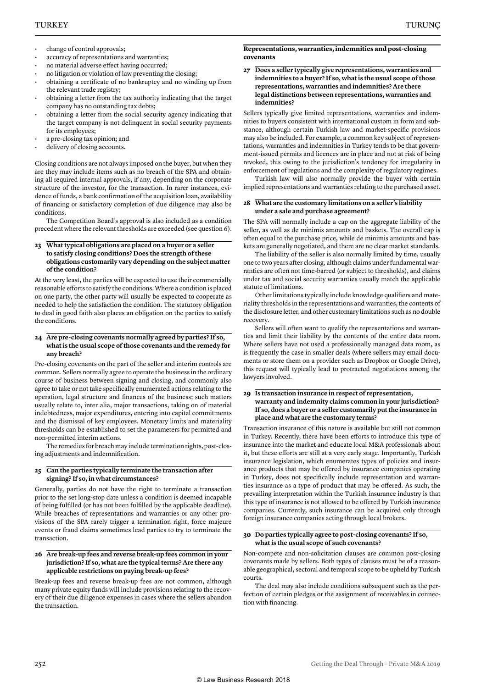- change of control approvals;
- accuracy of representations and warranties;
- no material adverse effect having occurred;
- no litigation or violation of law preventing the closing;
- obtaining a certificate of no bankruptcy and no winding up from the relevant trade registry;
- obtaining a letter from the tax authority indicating that the target company has no outstanding tax debts;
- obtaining a letter from the social security agency indicating that the target company is not delinquent in social security payments for its employees;
- a pre-closing tax opinion; and
- delivery of closing accounts.

Closing conditions are not always imposed on the buyer, but when they are they may include items such as no breach of the SPA and obtaining all required internal approvals, if any, depending on the corporate structure of the investor, for the transaction. In rarer instances, evidence of funds, a bank confirmation of the acquisition loan, availability of financing or satisfactory completion of due diligence may also be conditions.

The Competition Board's approval is also included as a condition precedent where the relevant thresholds are exceeded (see question 6).

#### **23 What typical obligations are placed on a buyer or a seller to satisfy closing conditions? Does the strength of these obligations customarily vary depending on the subject matter of the condition?**

At the very least, the parties will be expected to use their commercially reasonable efforts to satisfy the conditions. Where a condition is placed on one party, the other party will usually be expected to cooperate as needed to help the satisfaction the condition. The statutory obligation to deal in good faith also places an obligation on the parties to satisfy the conditions.

#### **24 Are pre-closing covenants normally agreed by parties? If so, what is the usual scope of those covenants and the remedy for any breach?**

Pre-closing covenants on the part of the seller and interim controls are common. Sellers normally agree to operate the business in the ordinary course of business between signing and closing, and commonly also agree to take or not take specifically enumerated actions relating to the operation, legal structure and finances of the business; such matters usually relate to, inter alia, major transactions, taking on of material indebtedness, major expenditures, entering into capital commitments and the dismissal of key employees. Monetary limits and materiality thresholds can be established to set the parameters for permitted and non-permitted interim actions.

The remedies for breach may include termination rights, post-closing adjustments and indemnification.

#### **25 Can the parties typically terminate the transaction after signing? If so, in what circumstances?**

Generally, parties do not have the right to terminate a transaction prior to the set long-stop date unless a condition is deemed incapable of being fulfilled (or has not been fulfilled by the applicable deadline). While breaches of representations and warranties or any other provisions of the SPA rarely trigger a termination right, force majeure events or fraud claims sometimes lead parties to try to terminate the transaction.

#### **26 Are break-up fees and reverse break-up fees common in your jurisdiction? If so, what are the typical terms? Are there any applicable restrictions on paying break-up fees?**

Break-up fees and reverse break-up fees are not common, although many private equity funds will include provisions relating to the recovery of their due diligence expenses in cases where the sellers abandon the transaction.

#### **Representations, warranties, indemnities and post-closing covenants**

#### **27 Does a seller typically give representations, warranties and indemnities to a buyer? If so, what is the usual scope of those representations, warranties and indemnities? Are there legal distinctions between representations, warranties and indemnities?**

Sellers typically give limited representations, warranties and indemnities to buyers consistent with international custom in form and substance, although certain Turkish law and market-specific provisions may also be included. For example, a common key subject of representations, warranties and indemnities in Turkey tends to be that government-issued permits and licences are in place and not at risk of being revoked, this owing to the jurisdiction's tendency for irregularity in enforcement of regulations and the complexity of regulatory regimes.

Turkish law will also normally provide the buyer with certain implied representations and warranties relating to the purchased asset.

#### **28 What are the customary limitations on a seller's liability under a sale and purchase agreement?**

The SPA will normally include a cap on the aggregate liability of the seller, as well as de minimis amounts and baskets. The overall cap is often equal to the purchase price, while de minimis amounts and baskets are generally negotiated, and there are no clear market standards.

The liability of the seller is also normally limited by time, usually one to two years after closing, although claims under fundamental warranties are often not time-barred (or subject to thresholds), and claims under tax and social security warranties usually match the applicable statute of limitations.

Other limitations typically include knowledge qualifiers and materiality thresholds in the representations and warranties, the contents of the disclosure letter, and other customary limitations such as no double recovery.

Sellers will often want to qualify the representations and warranties and limit their liability by the contents of the entire data room. Where sellers have not used a professionally managed data room, as is frequently the case in smaller deals (where sellers may email documents or store them on a provider such as Dropbox or Google Drive), this request will typically lead to protracted negotiations among the lawyers involved.

#### **29 Is transaction insurance in respect of representation, warranty and indemnity claims common in your jurisdiction? If so, does a buyer or a seller customarily put the insurance in place and what are the customary terms?**

Transaction insurance of this nature is available but still not common in Turkey. Recently, there have been efforts to introduce this type of insurance into the market and educate local M&A professionals about it, but these efforts are still at a very early stage. Importantly, Turkish insurance legislation, which enumerates types of policies and insurance products that may be offered by insurance companies operating in Turkey, does not specifically include representation and warranties insurance as a type of product that may be offered. As such, the prevailing interpretation within the Turkish insurance industry is that this type of insurance is not allowed to be offered by Turkish insurance companies. Currently, such insurance can be acquired only through foreign insurance companies acting through local brokers.

#### **30 Do parties typically agree to post-closing covenants? If so, what is the usual scope of such covenants?**

Non-compete and non-solicitation clauses are common post-closing covenants made by sellers. Both types of clauses must be of a reasonable geographical, sectoral and temporal scope to be upheld by Turkish courts.

The deal may also include conditions subsequent such as the perfection of certain pledges or the assignment of receivables in connection with financing.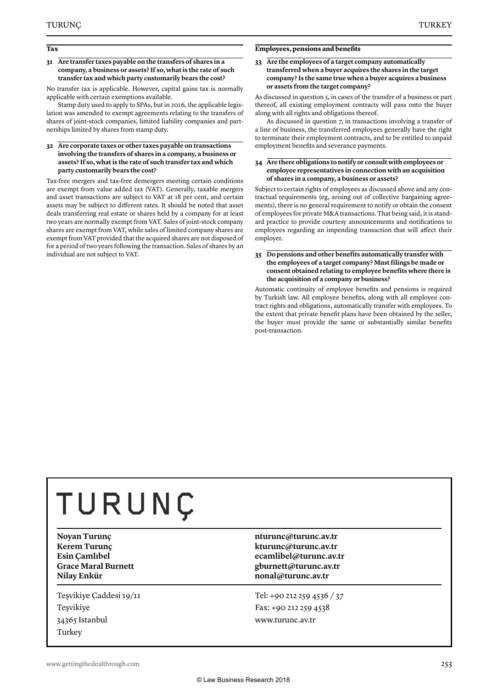#### **Tax**

#### **31 Are transfer taxes payable on the transfers of shares in a company, a business or assets? If so, what is the rate of such transfer tax and which party customarily bears the cost?**

No transfer tax is applicable. However, capital gains tax is normally applicable with certain exemptions available.

Stamp duty used to apply to SPAs, but in 2016, the applicable legislation was amended to exempt agreements relating to the transfers of shares of joint-stock companies, limited liability companies and partnerships limited by shares from stamp duty.

#### **32 Are corporate taxes or other taxes payable on transactions involving the transfers of shares in a company, a business or assets? If so, what is the rate of such transfer tax and which party customarily bears the cost?**

Tax-free mergers and tax-free demergers meeting certain conditions are exempt from value added tax (VAT). Generally, taxable mergers and asset transactions are subject to VAT at 18 per cent, and certain assets may be subject to different rates. It should be noted that asset deals transferring real estate or shares held by a company for at least two years are normally exempt from VAT. Sales of joint-stock company shares are exempt from VAT, while sales of limited company shares are exempt from VAT provided that the acquired shares are not disposed of for a period of two years following the transaction. Sales of shares by an individual are not subject to VAT.

#### **Employees, pensions and benefits**

#### **33 Are the employees of a target company automatically transferred when a buyer acquires the shares in the target company? Is the same true when a buyer acquires a business or assets from the target company?**

As discussed in question 5, in cases of the transfer of a business or part thereof, all existing employment contracts will pass onto the buyer along with all rights and obligations thereof.

As discussed in question 7, in transactions involving a transfer of a line of business, the transferred employees generally have the right to terminate their employment contracts, and to be entitled to unpaid employment benefits and severance payments.

#### **34 Are there obligations to notify or consult with employees or employee representatives in connection with an acquisition of shares in a company, a business or assets?**

Subject to certain rights of employees as discussed above and any contractual requirements (eg, arising out of collective bargaining agreements), there is no general requirement to notify or obtain the consent of employees for private M&A transactions. That being said, it is standard practice to provide courtesy announcements and notifications to employees regarding an impending transaction that will affect their employer.

#### **35 Do pensions and other benefits automatically transfer with the employees of a target company? Must filings be made or consent obtained relating to employee benefits where there is the acquisition of a company or business?**

Automatic continuity of employee benefits and pensions is required by Turkish law. All employee benefits, along with all employee contract rights and obligations, automatically transfer with employees. To the extent that private benefit plans have been obtained by the seller, the buyer must provide the same or substantially similar benefits post-transaction.

# TURUNÇ

**Nilay Enkür nonal@turunc.av.tr** 

Teşvikiye Caddesi 19/11 Teşvikiye 34365 Istanbul Turkey

#### **Novan Turunc nturunc nturunc** *nturunc av.tr* **nturunc** *nturunc av.tr* **Kerem Turunç kturunc@turunc.av.tr Esin Çamlıbel ecamlibel@turunc.av.tr Grace Maral Burnett gburnett@turunc.av.tr**

Tel: +90 212 259 4536 / 37 Fax: +90 212 259 4538 www.turunc.av.tr